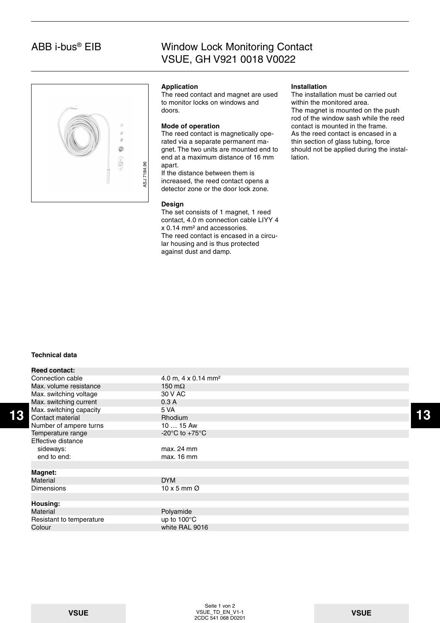## ABB i-bus® EIB

## Window Lock Monitoring Contact VSUE, GH V921 0018 V0022



#### **Application**

The reed contact and magnet are used to monitor locks on windows and doors.

#### **Mode of operation**

The reed contact is magnetically operated via a separate permanent magnet. The two units are mounted end to end at a maximum distance of 16 mm apart.

If the distance between them is increased, the reed contact opens a detector zone or the door lock zone.

#### **Design**

The set consists of 1 magnet, 1 reed contact, 4.0 m connection cable LIYY 4 x 0.14 mm² and accessories. The reed contact is encased in a circular housing and is thus protected against dust and damp.

### **Installation**

The installation must be carried out within the monitored area. The magnet is mounted on the push rod of the window sash while the reed contact is mounted in the frame. As the reed contact is encased in a thin section of glass tubing, force should not be applied during the installation.

### **Technical data**

|    | <b>Reed contact:</b>     |                                      |    |
|----|--------------------------|--------------------------------------|----|
|    | Connection cable         | 4.0 m, 4 x 0.14 mm <sup>2</sup>      |    |
|    | Max, volume resistance   | 150 m $\Omega$                       |    |
|    | Max. switching voltage   | 30 V AC                              |    |
|    | Max. switching current   | 0.3A                                 |    |
|    | Max. switching capacity  | 5 VA                                 |    |
| 13 | Contact material         | <b>Rhodium</b>                       | 13 |
|    | Number of ampere turns   | 10  15 Aw                            |    |
|    | Temperature range        | -20 $^{\circ}$ C to +75 $^{\circ}$ C |    |
|    | Effective distance       |                                      |    |
|    | sideways:                | max. 24 mm                           |    |
|    | end to end:              | max. 16 mm                           |    |
|    |                          |                                      |    |
|    | <b>Magnet:</b>           |                                      |    |
|    | Material                 | <b>DYM</b>                           |    |
|    | <b>Dimensions</b>        | $10 \times 5$ mm $\varnothing$       |    |
|    |                          |                                      |    |
|    | Housing:                 |                                      |    |
|    | <b>Material</b>          | Polyamide                            |    |
|    | Resistant to temperature | up to 100°C                          |    |
|    | Colour                   | white RAL 9016                       |    |
|    |                          |                                      |    |